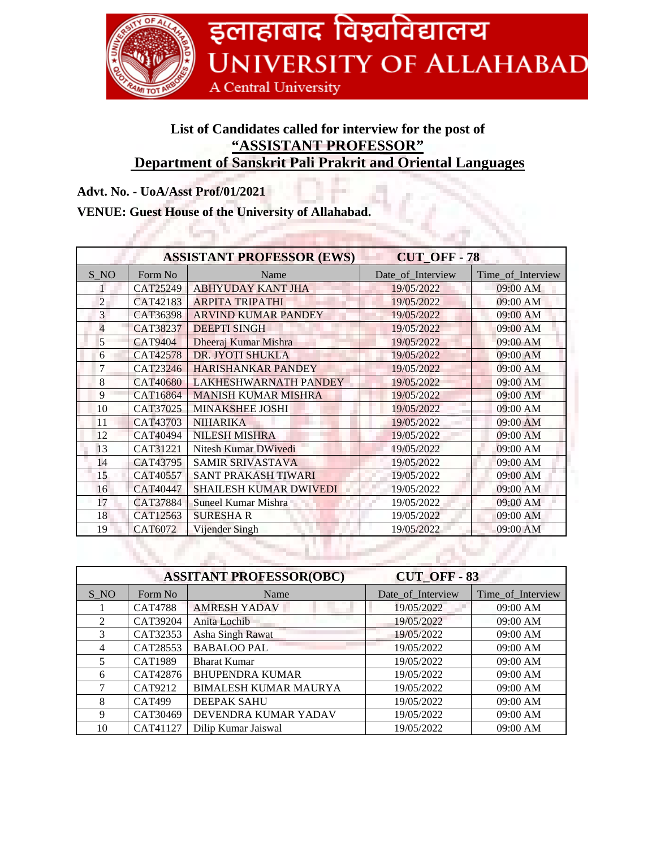

## **List of Candidates called for interview for the post of "ASSISTANT PROFESSOR" Department of Sanskrit Pali Prakrit and Oriental Languages**

## **Advt. No. - UoA/Asst Prof/01/2021**

## **VENUE: Guest House of the University of Allahabad.**

| <b>ASSISTANT PROFESSOR (EWS)</b> |                 |                               | <b>CUT_OFF-78</b> |                   |
|----------------------------------|-----------------|-------------------------------|-------------------|-------------------|
| S NO                             | Form No         | Name                          | Date_of_Interview | Time_of_Interview |
|                                  | CAT25249        | <b>ABHYUDAY KANT JHA</b>      | 19/05/2022        | 09:00 AM          |
| $\overline{2}$                   | CAT42183        | <b>ARPITA TRIPATHI</b>        | 19/05/2022        | 09:00 AM          |
| 3                                | CAT36398        | <b>ARVIND KUMAR PANDEY</b>    | 19/05/2022        | 09:00 AM          |
| 4                                | CAT38237        | <b>DEEPTI SINGH</b>           | 19/05/2022        | 09:00 AM          |
| 5                                | <b>CAT9404</b>  | Dheeraj Kumar Mishra          | 19/05/2022        | 09:00 AM          |
| 6                                | <b>CAT42578</b> | DR. JYOTI SHUKLA              | 19/05/2022        | 09:00 AM          |
| 7                                | CAT23246        | <b>HARISHANKAR PANDEY</b>     | 19/05/2022        | 09:00 AM          |
| 8                                | <b>CAT40680</b> | <b>LAKHESHWARNATH PANDEY</b>  | 19/05/2022        | 09:00 AM          |
| 9                                | CAT16864        | <b>MANISH KUMAR MISHRA</b>    | 19/05/2022        | 09:00 AM          |
| 10                               | CAT37025        | <b>MINAKSHEE JOSHI</b>        | 19/05/2022        | 09:00 AM          |
| 11                               | CAT43703        | <b>NIHARIKA</b>               | 19/05/2022        | 09:00 AM          |
| 12                               | CAT40494        | <b>NILESH MISHRA</b>          | 19/05/2022        | 09:00 AM          |
| 13                               | CAT31221        | Nitesh Kumar DWivedi          | 19/05/2022        | 09:00 AM          |
| 14                               | CAT43795        | <b>SAMIR SRIVASTAVA</b>       | 19/05/2022        | 09:00 AM          |
| 15                               | CAT40557        | <b>SANT PRAKASH TIWARI</b>    | 19/05/2022        | 09:00 AM          |
| 16                               | CAT40447        | <b>SHAILESH KUMAR DWIVEDI</b> | 19/05/2022        | 09:00 AM          |
| 17                               | CAT37884        | Suneel Kumar Mishra           | 19/05/2022        | 09:00 AM          |
| 18                               | CAT12563        | <b>SURESHAR</b>               | 19/05/2022        | 09:00 AM          |
| 19                               | CAT6072         | Vijender Singh                | 19/05/2022        | 09:00 AM          |

| <b>ASSITANT PROFESSOR(OBC)</b> |                |                              | <b>CUT OFF-83</b> |                   |
|--------------------------------|----------------|------------------------------|-------------------|-------------------|
| $S_N$                          | Form No        | Name                         | Date_of_Interview | Time_of_Interview |
|                                | <b>CAT4788</b> | <b>AMRESH YADAV</b>          | 19/05/2022        | 09:00 AM          |
| $\mathfrak{D}$                 | CAT39204       | Anita Lochib                 | 19/05/2022        | 09:00 AM          |
| 3                              | CAT32353       | Asha Singh Rawat             | 19/05/2022        | 09:00 AM          |
| 4                              | CAT28553       | <b>BABALOO PAL</b>           | 19/05/2022        | 09:00 AM          |
| 5                              | <b>CAT1989</b> | <b>Bharat Kumar</b>          | 19/05/2022        | 09:00 AM          |
| 6                              | CAT42876       | <b>BHUPENDRA KUMAR</b>       | 19/05/2022        | 09:00 AM          |
|                                | CAT9212        | <b>BIMALESH KUMAR MAURYA</b> | 19/05/2022        | 09:00 AM          |
| 8                              | <b>CAT499</b>  | <b>DEEPAK SAHU</b>           | 19/05/2022        | 09:00 AM          |
| 9                              | CAT30469       | DEVENDRA KUMAR YADAV         | 19/05/2022        | 09:00 AM          |
| 10                             | CAT41127       | Dilip Kumar Jaiswal          | 19/05/2022        | $09:00$ AM        |